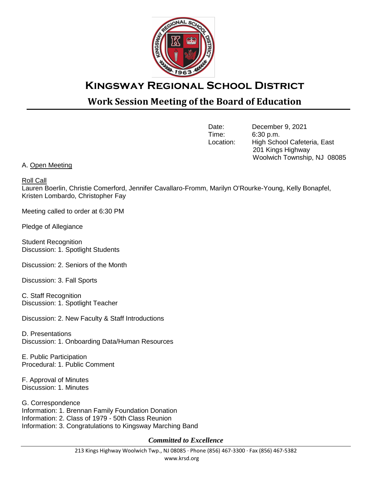

## **Kingsway Regional School District**

## **Work Session Meeting of the Board of Education**

Date: December 9, 2021<br>Time: 6:30 p.m.  $6:30$  p.m. Location: High School Cafeteria, East 201 Kings Highway Woolwich Township, NJ 08085

## A. Open Meeting

## Roll Call

Lauren Boerlin, Christie Comerford, Jennifer Cavallaro-Fromm, Marilyn O'Rourke-Young, Kelly Bonapfel, Kristen Lombardo, Christopher Fay

Meeting called to order at 6:30 PM

Pledge of Allegiance

Student Recognition Discussion: 1. Spotlight Students

Discussion: 2. Seniors of the Month

Discussion: 3. Fall Sports

C. Staff Recognition Discussion: 1. Spotlight Teacher

Discussion: 2. New Faculty & Staff Introductions

D. Presentations Discussion: 1. Onboarding Data/Human Resources

E. Public Participation Procedural: 1. Public Comment

F. Approval of Minutes Discussion: 1. Minutes

G. Correspondence Information: 1. Brennan Family Foundation Donation Information: 2. Class of 1979 - 50th Class Reunion Information: 3. Congratulations to Kingsway Marching Band

*Committed to Excellence*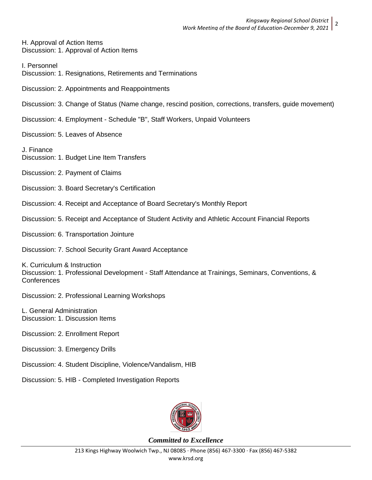H. Approval of Action Items Discussion: 1. Approval of Action Items

I. Personnel

Discussion: 1. Resignations, Retirements and Terminations

Discussion: 2. Appointments and Reappointments

Discussion: 3. Change of Status (Name change, rescind position, corrections, transfers, guide movement)

Discussion: 4. Employment - Schedule "B", Staff Workers, Unpaid Volunteers

Discussion: 5. Leaves of Absence

J. Finance Discussion: 1. Budget Line Item Transfers

Discussion: 2. Payment of Claims

Discussion: 3. Board Secretary's Certification

Discussion: 4. Receipt and Acceptance of Board Secretary's Monthly Report

Discussion: 5. Receipt and Acceptance of Student Activity and Athletic Account Financial Reports

Discussion: 6. Transportation Jointure

Discussion: 7. School Security Grant Award Acceptance

K. Curriculum & Instruction Discussion: 1. Professional Development - Staff Attendance at Trainings, Seminars, Conventions, & Conferences

Discussion: 2. Professional Learning Workshops

L. General Administration Discussion: 1. Discussion Items

Discussion: 2. Enrollment Report

Discussion: 3. Emergency Drills

Discussion: 4. Student Discipline, Violence/Vandalism, HIB

Discussion: 5. HIB - Completed Investigation Reports



*Committed to Excellence*